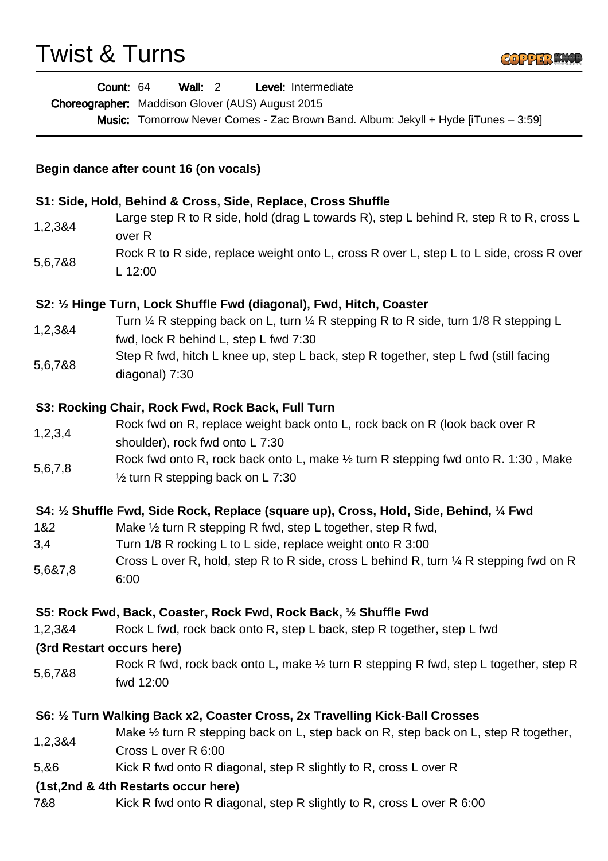## Twist & Turns



|                                                                                                        | Wall: $2$<br>Count: 64<br>Level: Intermediate<br>Choreographer: Maddison Glover (AUS) August 2015<br>Music: Tomorrow Never Comes - Zac Brown Band. Album: Jekyll + Hyde [iTunes - 3:59] |
|--------------------------------------------------------------------------------------------------------|-----------------------------------------------------------------------------------------------------------------------------------------------------------------------------------------|
| Begin dance after count 16 (on vocals)<br>S1: Side, Hold, Behind & Cross, Side, Replace, Cross Shuffle |                                                                                                                                                                                         |
|                                                                                                        |                                                                                                                                                                                         |
| 5,6,7&8                                                                                                | Rock R to R side, replace weight onto L, cross R over L, step L to L side, cross R over<br>L 12:00                                                                                      |
|                                                                                                        | S2: 1/2 Hinge Turn, Lock Shuffle Fwd (diagonal), Fwd, Hitch, Coaster                                                                                                                    |
| 1,2,3&4                                                                                                | Turn $\frac{1}{4}$ R stepping back on L, turn $\frac{1}{4}$ R stepping R to R side, turn 1/8 R stepping L<br>fwd, lock R behind L, step L fwd 7:30                                      |
| 5,6,7&8                                                                                                | Step R fwd, hitch L knee up, step L back, step R together, step L fwd (still facing<br>diagonal) 7:30                                                                                   |
|                                                                                                        | S3: Rocking Chair, Rock Fwd, Rock Back, Full Turn                                                                                                                                       |
| 1,2,3,4                                                                                                | Rock fwd on R, replace weight back onto L, rock back on R (look back over R<br>shoulder), rock fwd onto L 7:30                                                                          |
| 5,6,7,8                                                                                                | Rock fwd onto R, rock back onto L, make 1/2 turn R stepping fwd onto R. 1:30, Make<br>$\frac{1}{2}$ turn R stepping back on L 7:30                                                      |
|                                                                                                        | S4: 1/2 Shuffle Fwd, Side Rock, Replace (square up), Cross, Hold, Side, Behind, 1/4 Fwd                                                                                                 |
| 1&2                                                                                                    | Make $\frac{1}{2}$ turn R stepping R fwd, step L together, step R fwd,                                                                                                                  |
| 3,4                                                                                                    | Turn 1/8 R rocking L to L side, replace weight onto R 3:00                                                                                                                              |
| 5,6&7,8                                                                                                | Cross L over R, hold, step R to R side, cross L behind R, turn 1/4 R stepping fwd on R<br>6:00                                                                                          |
|                                                                                                        | S5: Rock Fwd, Back, Coaster, Rock Fwd, Rock Back, 1/2 Shuffle Fwd                                                                                                                       |
| 1,2,3&4                                                                                                | Rock L fwd, rock back onto R, step L back, step R together, step L fwd                                                                                                                  |
|                                                                                                        | (3rd Restart occurs here)                                                                                                                                                               |
| 5,6,7&8                                                                                                | Rock R fwd, rock back onto L, make 1/2 turn R stepping R fwd, step L together, step R<br>fwd 12:00                                                                                      |
|                                                                                                        | S6: 1/2 Turn Walking Back x2, Coaster Cross, 2x Travelling Kick-Ball Crosses                                                                                                            |
| 1,2,3&4                                                                                                | Make $\frac{1}{2}$ turn R stepping back on L, step back on R, step back on L, step R together,<br>Cross L over R 6:00                                                                   |
| 5,86                                                                                                   | Kick R fwd onto R diagonal, step R slightly to R, cross L over R                                                                                                                        |
|                                                                                                        | (1st, 2nd & 4th Restarts occur here)                                                                                                                                                    |
| 7&8                                                                                                    | Kick R fwd onto R diagonal, step R slightly to R, cross L over R 6:00                                                                                                                   |